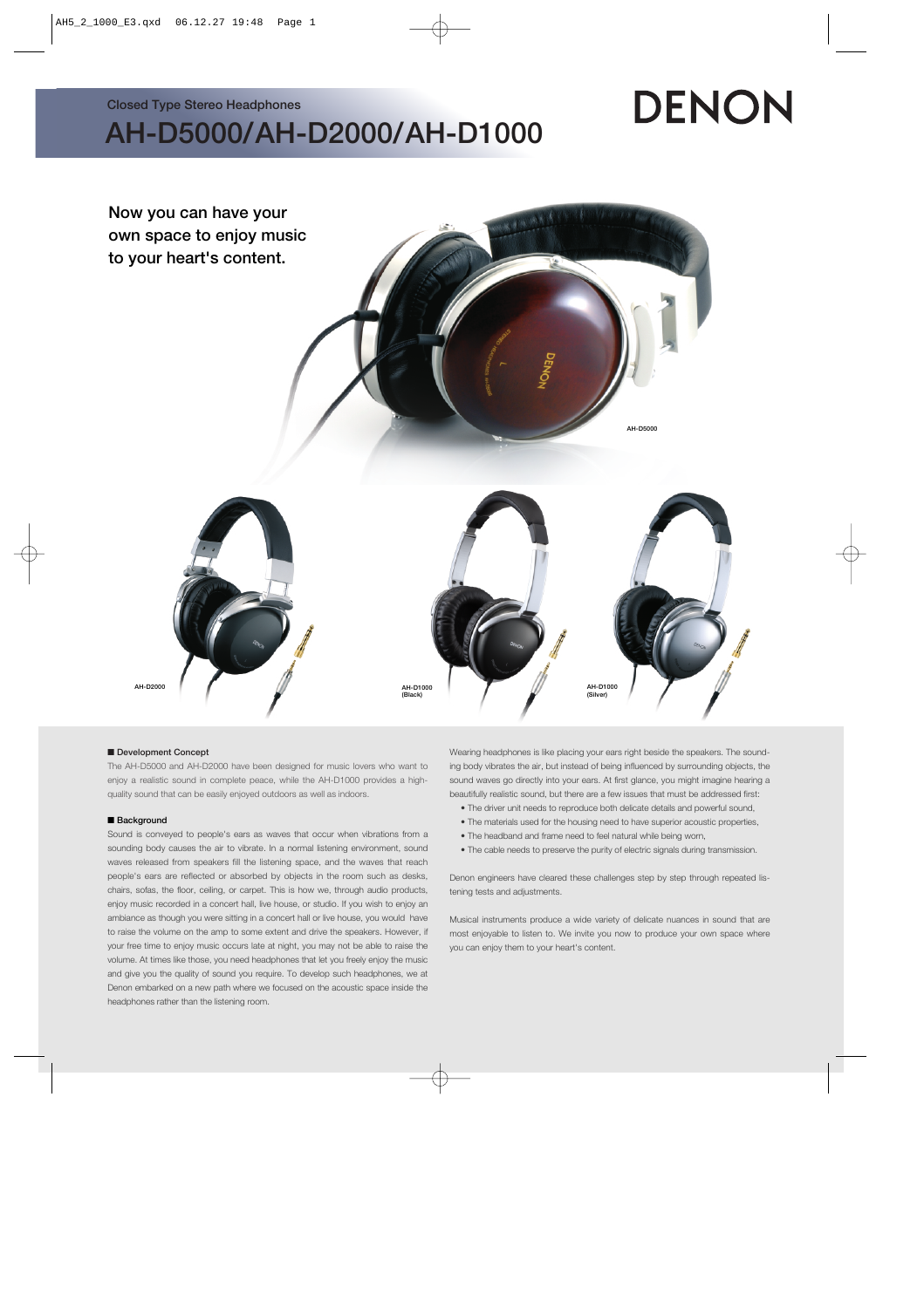**Closed Type Stereo Headphones**

## **AH-D5000/AH-D2000/AH-D1000**

# DENON



#### ■ Development Concept

The AH-D5000 and AH-D2000 have been designed for music lovers who want to enjoy a realistic sound in complete peace, while the AH-D1000 provides a highquality sound that can be easily enjoyed outdoors as well as indoors.

#### ■ **Background**

Sound is conveyed to people's ears as waves that occur when vibrations from a sounding body causes the air to vibrate. In a normal listening environment, sound waves released from speakers fill the listening space, and the waves that reach people's ears are reflected or absorbed by objects in the room such as desks, chairs, sofas, the floor, ceiling, or carpet. This is how we, through audio products, enjoy music recorded in a concert hall, live house, or studio. If you wish to enjoy an ambiance as though you were sitting in a concert hall or live house, you would have to raise the volume on the amp to some extent and drive the speakers. However, if your free time to enjoy music occurs late at night, you may not be able to raise the volume. At times like those, you need headphones that let you freely enjoy the music and give you the quality of sound you require. To develop such headphones, we at Denon embarked on a new path where we focused on the acoustic space inside the headphones rather than the listening room.

Wearing headphones is like placing your ears right beside the speakers. The sounding body vibrates the air, but instead of being influenced by surrounding objects, the sound waves go directly into your ears. At first glance, you might imagine hearing a beautifully realistic sound, but there are a few issues that must be addressed first:

- The driver unit needs to reproduce both delicate details and powerful sound,
- The materials used for the housing need to have superior acoustic properties,
- The headband and frame need to feel natural while being worn,
- The cable needs to preserve the purity of electric signals during transmission.

Denon engineers have cleared these challenges step by step through repeated listening tests and adjustments.

Musical instruments produce a wide variety of delicate nuances in sound that are most enjoyable to listen to. We invite you now to produce your own space where you can enjoy them to your heart's content.